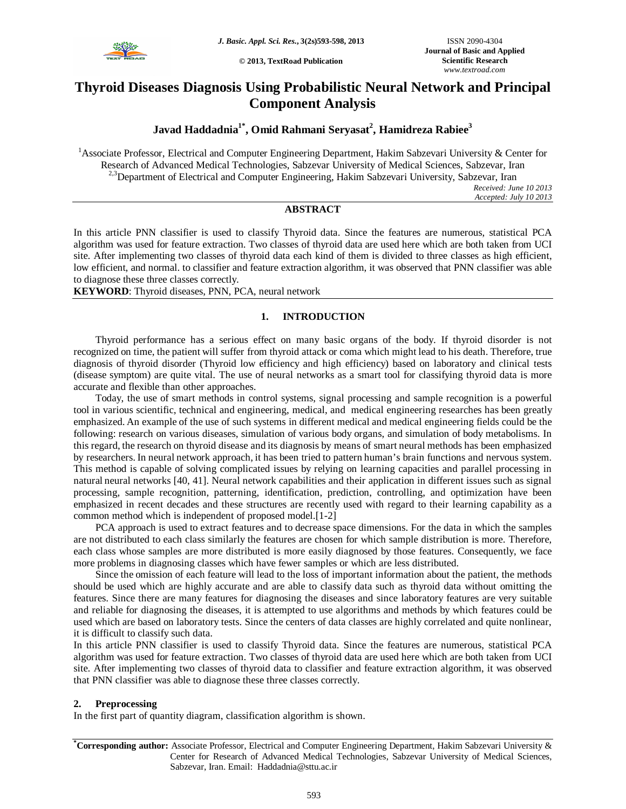

**© 2013, TextRoad Publication**

# **Thyroid Diseases Diagnosis Using Probabilistic Neural Network and Principal Component Analysis**

## **Javad Haddadnia1\* , Omid Rahmani Seryasat<sup>2</sup> , Hamidreza Rabiee<sup>3</sup>**

<sup>1</sup>Associate Professor, Electrical and Computer Engineering Department, Hakim Sabzevari University & Center for Research of Advanced Medical Technologies, Sabzevar University of Medical Sciences, Sabzevar, Iran <sup>2,3</sup>Department of Electrical and Computer Engineering, Hakim Sabzevari University, Sabzevar, Iran

> *Received: June 10 2013 Accepted: July 10 2013*

## **ABSTRACT**

In this article PNN classifier is used to classify Thyroid data. Since the features are numerous, statistical PCA algorithm was used for feature extraction. Two classes of thyroid data are used here which are both taken from UCI site. After implementing two classes of thyroid data each kind of them is divided to three classes as high efficient, low efficient, and normal. to classifier and feature extraction algorithm, it was observed that PNN classifier was able to diagnose these three classes correctly.

**KEYWORD**: Thyroid diseases, PNN, PCA, neural network

## **1. INTRODUCTION**

Thyroid performance has a serious effect on many basic organs of the body. If thyroid disorder is not recognized on time, the patient will suffer from thyroid attack or coma which might lead to his death. Therefore, true diagnosis of thyroid disorder (Thyroid low efficiency and high efficiency) based on laboratory and clinical tests (disease symptom) are quite vital. The use of neural networks as a smart tool for classifying thyroid data is more accurate and flexible than other approaches.

Today, the use of smart methods in control systems, signal processing and sample recognition is a powerful tool in various scientific, technical and engineering, medical, and medical engineering researches has been greatly emphasized. An example of the use of such systems in different medical and medical engineering fields could be the following: research on various diseases, simulation of various body organs, and simulation of body metabolisms. In this regard, the research on thyroid disease and its diagnosis by means of smart neural methods has been emphasized by researchers. In neural network approach, it has been tried to pattern human's brain functions and nervous system. This method is capable of solving complicated issues by relying on learning capacities and parallel processing in natural neural networks [40, 41]. Neural network capabilities and their application in different issues such as signal processing, sample recognition, patterning, identification, prediction, controlling, and optimization have been emphasized in recent decades and these structures are recently used with regard to their learning capability as a common method which is independent of proposed model.[1-2]

PCA approach is used to extract features and to decrease space dimensions. For the data in which the samples are not distributed to each class similarly the features are chosen for which sample distribution is more. Therefore, each class whose samples are more distributed is more easily diagnosed by those features. Consequently, we face more problems in diagnosing classes which have fewer samples or which are less distributed.

Since the omission of each feature will lead to the loss of important information about the patient, the methods should be used which are highly accurate and are able to classify data such as thyroid data without omitting the features. Since there are many features for diagnosing the diseases and since laboratory features are very suitable and reliable for diagnosing the diseases, it is attempted to use algorithms and methods by which features could be used which are based on laboratory tests. Since the centers of data classes are highly correlated and quite nonlinear, it is difficult to classify such data.

In this article PNN classifier is used to classify Thyroid data. Since the features are numerous, statistical PCA algorithm was used for feature extraction. Two classes of thyroid data are used here which are both taken from UCI site. After implementing two classes of thyroid data to classifier and feature extraction algorithm, it was observed that PNN classifier was able to diagnose these three classes correctly.

## **2. Preprocessing**

In the first part of quantity diagram, classification algorithm is shown.

**\*Corresponding author:** Associate Professor, Electrical and Computer Engineering Department, Hakim Sabzevari University & Center for Research of Advanced Medical Technologies, Sabzevar University of Medical Sciences, Sabzevar, Iran. Email: Haddadnia@sttu.ac.ir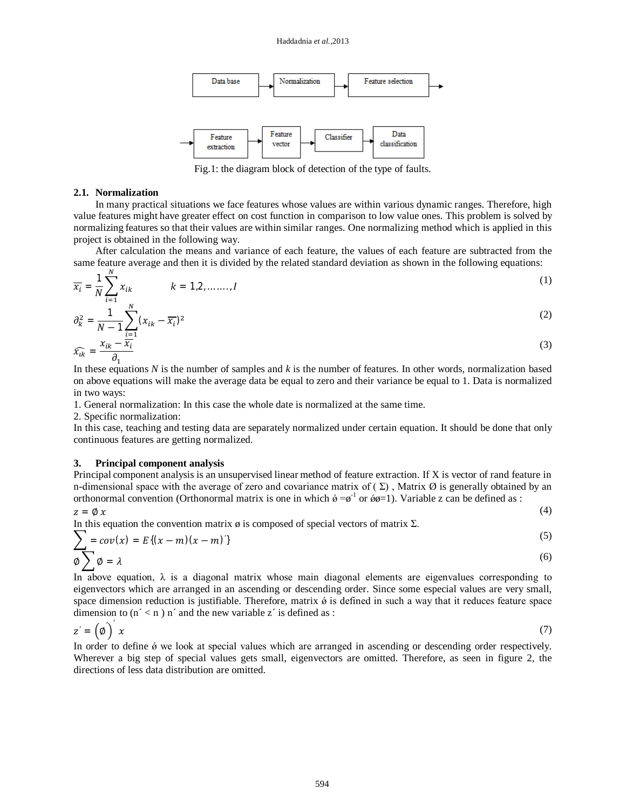

Fig.1: the diagram block of detection of the type of faults.

#### **2.1. Normalization**

In many practical situations we face features whose values are within various dynamic ranges. Therefore, high value features might have greater effect on cost function in comparison to low value ones. This problem is solved by normalizing features so that their values are within similar ranges. One normalizing method which is applied in this project is obtained in the following way.

After calculation the means and variance of each feature, the values of each feature are subtracted from the same feature average and then it is divided by the related standard deviation as shown in the following equations:

$$
\overline{x_i} = \frac{1}{N} \sum_{i=1}^{N} x_{ik} \qquad k = 1, 2, \dots, I
$$
\n
$$
\partial_k^2 = \frac{1}{N-1} \sum_{i=1}^{N} (x_{ik} - \overline{x_i})^2
$$
\n(1)

$$
\widehat{x_{ik}} = \frac{x_{ik} - \overline{x_i}}{\partial_1} \tag{3}
$$

In these equations *N* is the number of samples and *k* is the number of features. In other words, normalization based on above equations will make the average data be equal to zero and their variance be equal to 1. Data is normalized in two ways:

1. General normalization: In this case the whole date is normalized at the same time.

2. Specific normalization:

In this case, teaching and testing data are separately normalized under certain equation. It should be done that only continuous features are getting normalized.

#### **3. Principal component analysis**

Principal component analysis is an unsupervised linear method of feature extraction. If X is vector of rand feature in n-dimensional space with the average of zero and covariance matrix of  $(\Sigma)$ , Matrix  $\emptyset$  is generally obtained by an orthonormal convention (Orthonormal matrix is one in which  $\phi = \phi^{-1}$  or  $\phi \phi = 1$ ). Variable z can be defined as :

 $z = \emptyset x$  (4)

 $(5)$ 

In this equation the convention matrix  $\phi$  is composed of special vectors of matrix  $\Sigma$ .

$$
\sum_{\emptyset} = cov(x) = E\{(x - m)(x - m)\}\tag{5}
$$

In above equation,  $\lambda$  is a diagonal matrix whose main diagonal elements are eigenvalues corresponding to eigenvectors which are arranged in an ascending or descending order. Since some especial values are very small, space dimension reduction is justifiable. Therefore, matrix  $\phi$  is defined in such a way that it reduces feature space dimension to  $(n' < n)$  n' and the new variable z' is defined as :

$$
z' = \left(\phi\right)'x\tag{7}
$$

In order to define  $\acute{\theta}$  we look at special values which are arranged in ascending or descending order respectively. Wherever a big step of special values gets small, eigenvectors are omitted. Therefore, as seen in figure 2, the directions of less data distribution are omitted.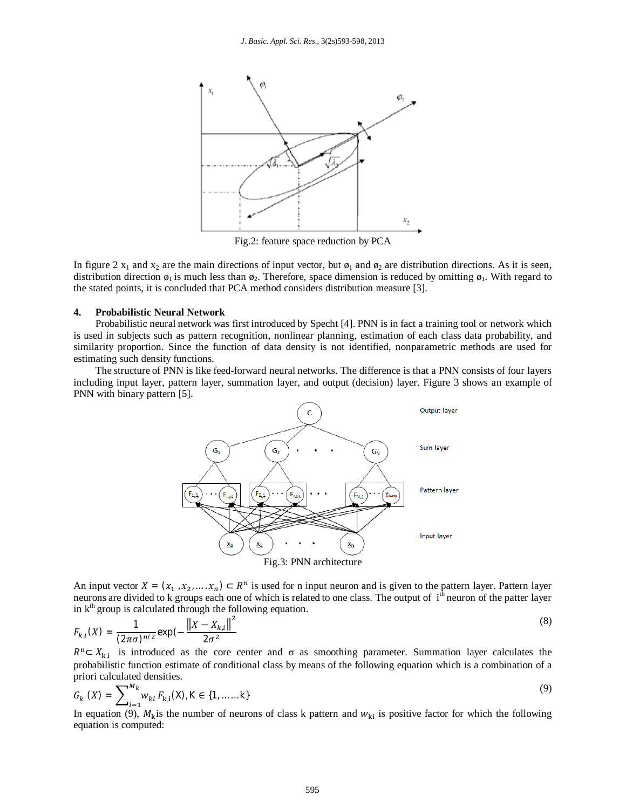

Fig.2: feature space reduction by PCA

In figure 2  $x_1$  and  $x_2$  are the main directions of input vector, but  $\phi_1$  and  $\phi_2$  are distribution directions. As it is seen, distribution direction  $\phi_1$  is much less than  $\phi_2$ . Therefore, space dimension is reduced by omitting  $\phi_1$ . With regard to the stated points, it is concluded that PCA method considers distribution measure [3].

#### **4. Probabilistic Neural Network**

Probabilistic neural network was first introduced by Specht [4]. PNN is in fact a training tool or network which is used in subjects such as pattern recognition, nonlinear planning, estimation of each class data probability, and similarity proportion. Since the function of data density is not identified, nonparametric methods are used for estimating such density functions.

The structure of PNN is like feed-forward neural networks. The difference is that a PNN consists of four layers including input layer, pattern layer, summation layer, and output (decision) layer. Figure 3 shows an example of PNN with binary pattern [5].



An input vector  $X = (x_1, x_2, ..., x_n) \subset R^n$  is used for n input neuron and is given to the pattern layer. Pattern layer neurons are divided to k groups each one of which is related to one class. The output of i<sup>th</sup> neuron of the patter layer in  $k^{th}$  group is calculated through the following equation.

$$
F_{k,i}(X) = \frac{1}{(2\pi\sigma)^{n/2}} \exp\left(-\frac{\left\|X - X_{k,i}\right\|^2}{2\sigma^2}\right)
$$
\n(8)

 $R^{n} \subset X_{k,i}$  is introduced as the core center and  $\sigma$  as smoothing parameter. Summation layer calculates the probabilistic function estimate of conditional class by means of the following equation which is a combination of a priori calculated densities.

$$
G_k(X) = \sum_{i=1}^{M_k} w_{ki} F_{k,i}(X), K \in \{1, \dots, k\}
$$
\n(9)

In equation (9),  $M_k$  is the number of neurons of class k pattern and  $w_{ki}$  is positive factor for which the following equation is computed: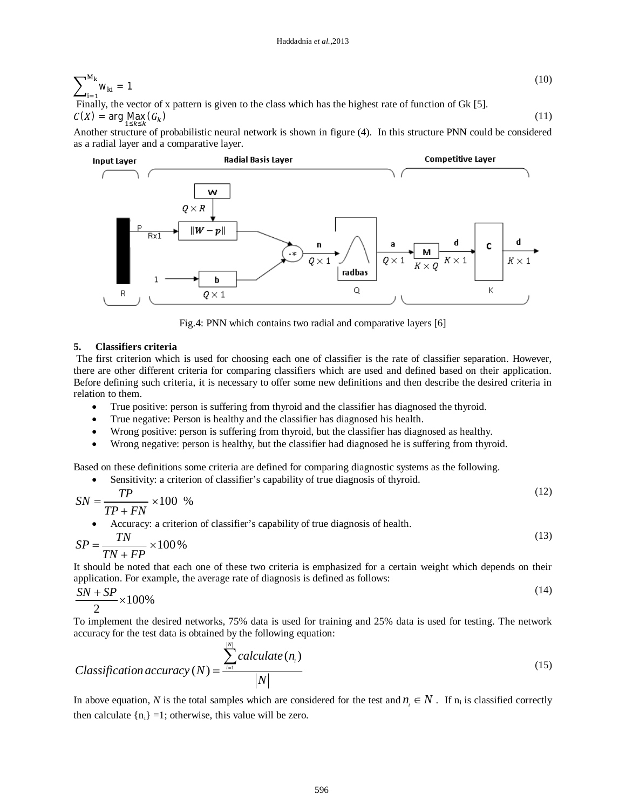$$
\sum_{i=1}^{M_k} w_{ki} = 1
$$
\nFinally, the vector of x pattern is given to the class which has the highest rate of function of Gk [5].\n
$$
(10)
$$

 $C(X)$  = arg Max  $(G_k)$ ) (11)

Another structure of probabilistic neural network is shown in figure (4). In this structure PNN could be considered as a radial layer and a comparative layer.



Fig.4: PNN which contains two radial and comparative layers [6]

## **5. Classifiers criteria**

The first criterion which is used for choosing each one of classifier is the rate of classifier separation. However, there are other different criteria for comparing classifiers which are used and defined based on their application. Before defining such criteria, it is necessary to offer some new definitions and then describe the desired criteria in relation to them.

- True positive: person is suffering from thyroid and the classifier has diagnosed the thyroid.
- True negative: Person is healthy and the classifier has diagnosed his health.
- Wrong positive: person is suffering from thyroid, but the classifier has diagnosed as healthy.
- Wrong negative: person is healthy, but the classifier had diagnosed he is suffering from thyroid.

Based on these definitions some criteria are defined for comparing diagnostic systems as the following.

Sensitivity: a criterion of classifier's capability of true diagnosis of thyroid.

$$
SN = \frac{TP}{TP + FN} \times 100\% \tag{12}
$$

Accuracy: a criterion of classifier's capability of true diagnosis of health.

$$
SP = \frac{TN}{TN + FP} \times 100\,\%
$$
\n<sup>(13)</sup>

It should be noted that each one of these two criteria is emphasized for a certain weight which depends on their application. For example, the average rate of diagnosis is defined as follows:

$$
\frac{SN + SP}{2} \times 100\% \tag{14}
$$

To implement the desired networks, 75% data is used for training and 25% data is used for testing. The network accuracy for the test data is obtained by the following equation:

$$
Classification accuracy(N) = \frac{\sum_{i=1}^{[N]} calculate(n_i)}{|N|}
$$
\n(15)

In above equation, N is the total samples which are considered for the test and  $n_i \in N$ . If  $n_i$  is classified correctly then calculate  $\{n_i\} = 1$ ; otherwise, this value will be zero.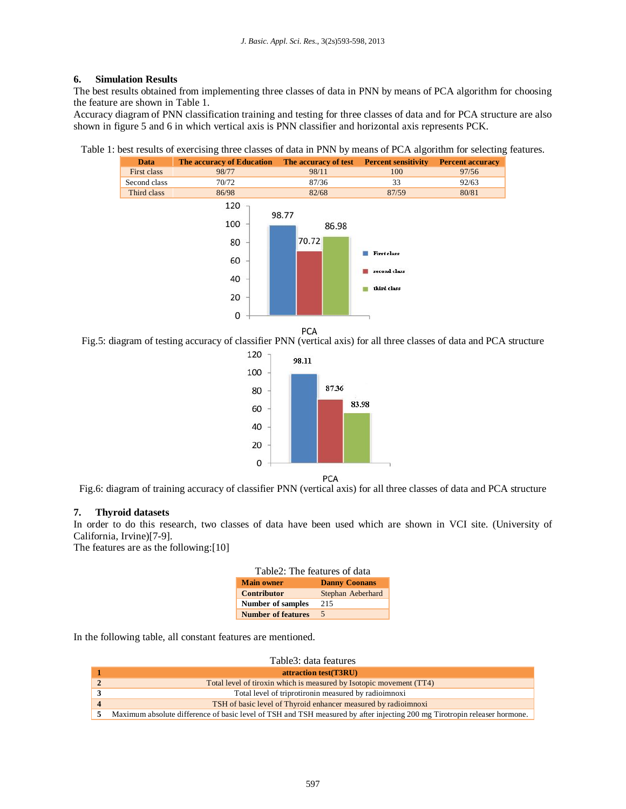## **6. Simulation Results**

The best results obtained from implementing three classes of data in PNN by means of PCA algorithm for choosing the feature are shown in Table 1.

Accuracy diagram of PNN classification training and testing for three classes of data and for PCA structure are also shown in figure 5 and 6 in which vertical axis is PNN classifier and horizontal axis represents PCK.

Table 1: best results of exercising three classes of data in PNN by means of PCA algorithm for selecting features.



PCA

Fig.5: diagram of testing accuracy of classifier PNN (vertical axis) for all three classes of data and PCA structure



Fig.6: diagram of training accuracy of classifier PNN (vertical axis) for all three classes of data and PCA structure

## **7. Thyroid datasets**

In order to do this research, two classes of data have been used which are shown in VCI site. (University of California, Irvine)[7-9].

The features are as the following:[10]

| Table2: The features of data |                      |  |
|------------------------------|----------------------|--|
| <b>Main owner</b>            | <b>Danny Coonans</b> |  |
| <b>Contributor</b>           | Stephan Aeberhard    |  |
| <b>Number of samples</b>     | 215                  |  |
| <b>Number of features</b>    | 5                    |  |

In the following table, all constant features are mentioned.

| Table3: data features                                                                                                     |
|---------------------------------------------------------------------------------------------------------------------------|
| attraction test(T3RU)                                                                                                     |
| Total level of tiroxin which is measured by Isotopic movement (TT4)                                                       |
| Total level of triprotironin measured by radioimnoxi                                                                      |
| TSH of basic level of Thyroid enhancer measured by radioimnoxi                                                            |
| Maximum absolute difference of basic level of TSH and TSH measured by after injecting 200 mg Tirotropin releaser hormone. |